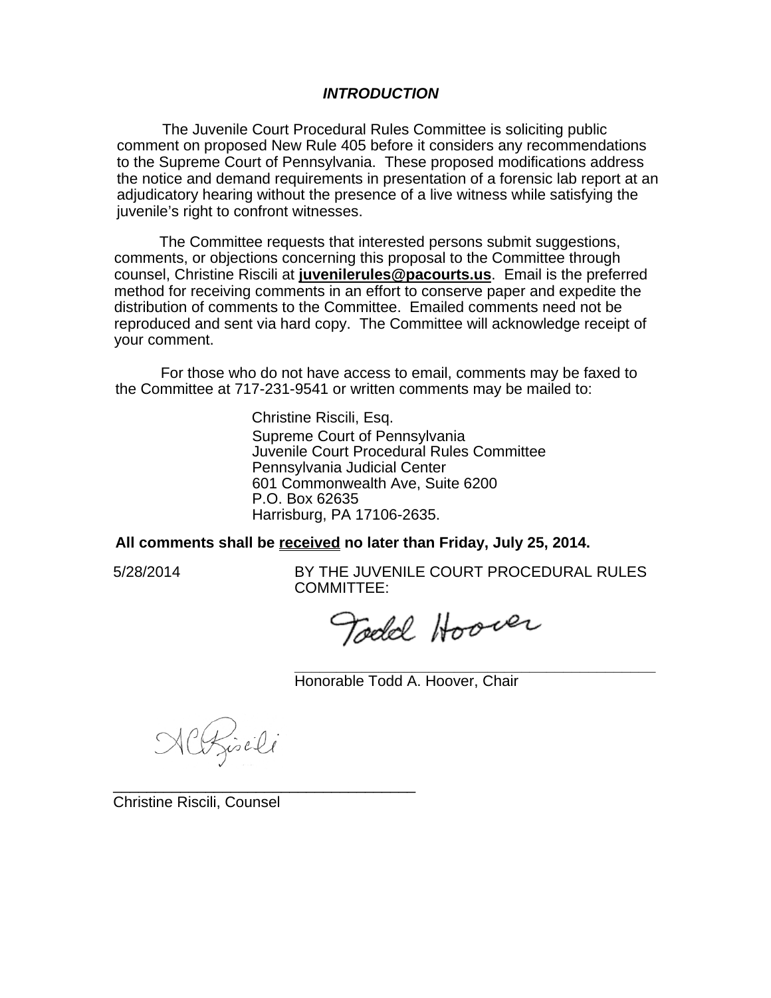## *INTRODUCTION*

The Juvenile Court Procedural Rules Committee is soliciting public comment on proposed New Rule 405 before it considers any recommendations to the Supreme Court of Pennsylvania. These proposed modifications address the notice and demand requirements in presentation of a forensic lab report at an adjudicatory hearing without the presence of a live witness while satisfying the juvenile's right to confront witnesses.

The Committee requests that interested persons submit suggestions, comments, or objections concerning this proposal to the Committee through counsel, Christine Riscili at **juvenilerules@pacourts.us**. Email is the preferred method for receiving comments in an effort to conserve paper and expedite the distribution of comments to the Committee. Emailed comments need not be reproduced and sent via hard copy. The Committee will acknowledge receipt of your comment.

For those who do not have access to email, comments may be faxed to the Committee at 717-231-9541 or written comments may be mailed to:

> Christine Riscili, Esq. Supreme Court of Pennsylvania Juvenile Court Procedural Rules Committee Pennsylvania Judicial Center 601 Commonwealth Ave, Suite 6200 P.O. Box 62635 Harrisburg, PA 17106-2635.

## **All comments shall be received no later than Friday, July 25, 2014.**

5/28/2014 BY THE JUVENILE COURT PROCEDURAL RULES COMMITTEE:

Todd Hoover

**\_\_\_\_\_\_\_\_\_\_\_\_\_\_\_\_\_\_\_\_\_\_\_\_\_\_\_\_\_\_\_\_\_\_\_\_\_\_\_\_\_\_\_**  Honorable Todd A. Hoover, Chair

Altzischi

\_\_\_\_\_\_\_\_\_\_\_\_\_\_\_\_\_\_\_\_\_\_\_\_\_\_\_\_\_\_\_\_\_\_\_\_

Christine Riscili, Counsel